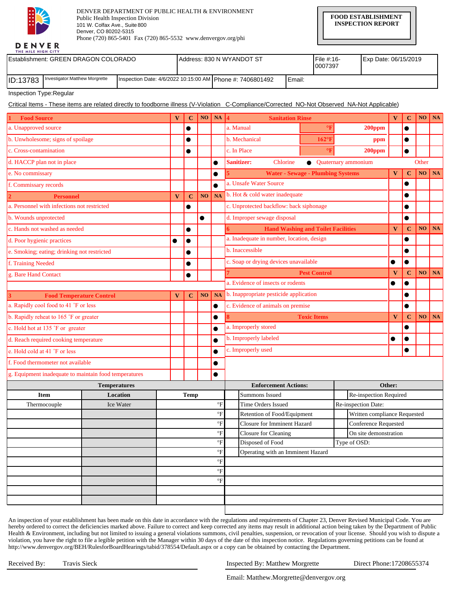

DENVER DEPARTMENT OF PUBLIC HEALTH & ENVIRONMENT Public Health Inspection Division 101 W. Colfax Ave., Suite 800 Denver, CO 80202-5315 Phone (720) 865-5401 Fax (720) 865-5532 www.denvergov.org/phi

**FOOD ESTABLISHMENT INSPECTION REPORT**

## **DENVER**

|          | Establishment: GREEN DRAGON COLORADO | Address: 830 N WYANDOT ST |                                                             | $IFile #:16-$<br>10007397 | <b>I</b> Exp Date: 06/15/2019 |  |
|----------|--------------------------------------|---------------------------|-------------------------------------------------------------|---------------------------|-------------------------------|--|
| ID:13783 | Investigator: Matthew Morgrette      |                           | Inspection Date: 4/6/2022 10:15:00 AM   Phone #: 7406801492 | Email:                    |                               |  |

Inspection Type:Regular

Critical Items - These items are related directly to foodborne illness (V-Violation C-Compliance/Corrected NO-Not Observed NA-Not Applicable)

| <b>Food Source</b>                                    |                     |                          | $\mathbf C$              |                          | $NO$ $NA$                | $\overline{\mathbf{4}}$                              | <b>Sanitation Rinse</b>                   |                              |                             | $\mathbf{V}$            | $\mathbf C$ |                 | $NO$ $NA$ |  |  |  |  |  |
|-------------------------------------------------------|---------------------|--------------------------|--------------------------|--------------------------|--------------------------|------------------------------------------------------|-------------------------------------------|------------------------------|-----------------------------|-------------------------|-------------|-----------------|-----------|--|--|--|--|--|
| a. Unapproved source                                  |                     |                          | $\bullet$                |                          |                          | a. Manual                                            |                                           | °F                           | 200ppm                      |                         | $\bullet$   |                 |           |  |  |  |  |  |
| b. Unwholesome; signs of spoilage                     |                     |                          | $\bullet$                |                          |                          |                                                      | b. Mechanical                             | 162°F                        | ppm                         |                         | $\bullet$   |                 |           |  |  |  |  |  |
| c. Cross-contamination                                |                     |                          | $\bullet$                |                          |                          |                                                      | c. In Place                               | $\mathbf{P}$                 | $200$ ppm                   |                         | $\bullet$   |                 |           |  |  |  |  |  |
| d. HACCP plan not in place                            |                     |                          |                          |                          | $\bullet$                | <b>Sanitizer:</b><br>Chlorine<br>Quaternary ammonium |                                           |                              |                             |                         |             | Other           |           |  |  |  |  |  |
| e. No commissary                                      |                     |                          |                          |                          | $\bullet$                | 5.                                                   | <b>Water - Sewage - Plumbing Systems</b>  | $\mathbf{V}$                 | $\bf C$                     | NO                      | <b>NA</b>   |                 |           |  |  |  |  |  |
| f. Commissary records                                 |                     |                          |                          |                          | $\bullet$                |                                                      | a. Unsafe Water Source                    |                              | $\bullet$                   |                         |             |                 |           |  |  |  |  |  |
| <b>Personnel</b>                                      |                     | $\overline{\mathbf{V}}$  | $\bf C$                  | NO                       | <b>NA</b>                | b. Hot & cold water inadequate                       |                                           |                              |                             |                         |             |                 |           |  |  |  |  |  |
| a. Personnel with infections not restricted           |                     |                          | $\bullet$                |                          |                          | c. Unprotected backflow: back siphonage              |                                           |                              |                             |                         |             |                 |           |  |  |  |  |  |
| b. Wounds unprotected                                 |                     |                          |                          | $\bullet$                |                          |                                                      | d. Improper sewage disposal               |                              | $\bullet$                   |                         |             |                 |           |  |  |  |  |  |
| c. Hands not washed as needed                         |                     |                          | $\bullet$                |                          |                          |                                                      | <b>Hand Washing and Toilet Facilities</b> | $\overline{\mathbf{V}}$      | $\bf C$                     | NO                      | <b>NA</b>   |                 |           |  |  |  |  |  |
| d. Poor hygienic practices                            |                     | $\bullet$                | $\bullet$                |                          |                          |                                                      | a. Inadequate in number, location, design |                              | $\bullet$                   |                         |             |                 |           |  |  |  |  |  |
| e. Smoking; eating; drinking not restricted           |                     |                          | $\bullet$                |                          |                          |                                                      | b. Inaccessible                           |                              |                             |                         |             |                 |           |  |  |  |  |  |
| f. Training Needed                                    |                     |                          | $\bullet$                |                          |                          |                                                      | c. Soap or drying devices unavailable     |                              |                             |                         |             |                 |           |  |  |  |  |  |
| g. Bare Hand Contact                                  |                     |                          | $\bullet$                |                          |                          |                                                      |                                           | <b>Pest Control</b>          |                             | $\overline{\mathbf{V}}$ | $\mathbf C$ | NO <sub>1</sub> | <b>NA</b> |  |  |  |  |  |
|                                                       |                     |                          |                          |                          |                          | a. Evidence of insects or rodents                    |                                           |                              |                             |                         | $\bullet$   |                 |           |  |  |  |  |  |
| <b>Food Temperature Control</b>                       |                     |                          |                          | NO <sub>1</sub>          | <b>NA</b>                | b. Inappropriate pesticide application               |                                           |                              |                             |                         | $\bullet$   |                 |           |  |  |  |  |  |
| a. Rapidly cool food to 41 °F or less                 |                     |                          |                          |                          | $\bullet$                | c. Evidence of animals on premise                    |                                           |                              |                             |                         |             |                 |           |  |  |  |  |  |
| b. Rapidly reheat to 165 °F or greater                |                     |                          |                          |                          | $\bullet$                | <b>Toxic Items</b>                                   |                                           |                              |                             |                         | $\mathbf C$ | NO <sub>1</sub> | <b>NA</b> |  |  |  |  |  |
| c. Hold hot at 135 °F or greater                      |                     |                          |                          |                          | $\bullet$                | a. Improperly stored                                 |                                           |                              |                             |                         | $\bullet$   |                 |           |  |  |  |  |  |
| d. Reach required cooking temperature                 |                     |                          |                          |                          | $\bullet$                | b. Improperly labeled<br>$\bullet$                   |                                           |                              |                             |                         |             |                 |           |  |  |  |  |  |
| e. Hold cold at 41 °F or less                         |                     |                          |                          |                          | $\bullet$                | c. Improperly used<br>$\bullet$                      |                                           |                              |                             |                         |             |                 |           |  |  |  |  |  |
| f. Food thermometer not available                     |                     |                          |                          |                          | $\bullet$                |                                                      |                                           |                              |                             |                         |             |                 |           |  |  |  |  |  |
| g. Equipment inadequate to maintain food temperatures |                     |                          |                          |                          | $\bullet$                |                                                      |                                           |                              |                             |                         |             |                 |           |  |  |  |  |  |
|                                                       | <b>Temperatures</b> |                          |                          |                          |                          |                                                      | <b>Enforcement Actions:</b>               |                              | Other:                      |                         |             |                 |           |  |  |  |  |  |
| <b>Item</b>                                           | <b>Location</b>     | <b>Temp</b>              |                          |                          |                          |                                                      | <b>Summons Issued</b>                     |                              | Re-inspection Required      |                         |             |                 |           |  |  |  |  |  |
| Thermocouple                                          | Ice Water           | $\,{}^{\circ}\mathrm{F}$ |                          |                          |                          |                                                      | Time Orders Issued                        |                              | Re-inspection Date:         |                         |             |                 |           |  |  |  |  |  |
|                                                       | $\circ$ F           |                          |                          |                          |                          | Retention of Food/Equipment                          |                                           | Written compliance Requested |                             |                         |             |                 |           |  |  |  |  |  |
|                                                       |                     |                          | $\,{}^{\circ}\mathrm{F}$ |                          |                          |                                                      | <b>Closure for Imminent Hazard</b>        |                              | <b>Conference Requested</b> |                         |             |                 |           |  |  |  |  |  |
|                                                       |                     |                          |                          | $\,{}^{\circ}\mathrm{F}$ |                          |                                                      | Closure for Cleaning                      |                              | On site demonstration       |                         |             |                 |           |  |  |  |  |  |
|                                                       |                     |                          |                          | $\,{}^\circ \mathrm{F}$  |                          |                                                      | Disposed of Food                          |                              | Type of OSD:                |                         |             |                 |           |  |  |  |  |  |
|                                                       |                     |                          |                          |                          | $\,{}^\circ \mathrm{F}$  | Operating with an Imminent Hazard                    |                                           |                              |                             |                         |             |                 |           |  |  |  |  |  |
|                                                       | $\circ$ F           |                          |                          |                          |                          |                                                      |                                           |                              |                             |                         |             |                 |           |  |  |  |  |  |
|                                                       |                     |                          |                          |                          | $\,{}^{\circ}\mathrm{F}$ |                                                      |                                           |                              |                             |                         |             |                 |           |  |  |  |  |  |
|                                                       |                     |                          |                          |                          | $\,{}^{\circ}\mathrm{F}$ |                                                      |                                           |                              |                             |                         |             |                 |           |  |  |  |  |  |
|                                                       |                     |                          |                          |                          |                          |                                                      |                                           |                              |                             |                         |             |                 |           |  |  |  |  |  |
|                                                       |                     |                          |                          |                          |                          |                                                      |                                           |                              |                             |                         |             |                 |           |  |  |  |  |  |

An inspection of your establishment has been made on this date in accordance with the regulations and requirements of Chapter 23, Denver Revised Municipal Code. You are hereby ordered to correct the deficiencies marked above. Failure to correct and keep corrected any items may result in additional action being taken by the Department of Public Health & Environment, including but not limited to issuing a general violations summons, civil penalties, suspension, or revocation of your license. Should you wish to dispute a violation, you have the right to file a legible petition with the Manager within 30 days of the date of this inspection notice. Regulations governing petitions can be found at http://www.denvergov.org/BEH/RulesforBoardHearings/tabid/378554/Default.aspx or a copy can be obtained by contacting the Department.

Received By: Travis Sieck Inspected By: Matthew Morgrette Direct Phone:17208655374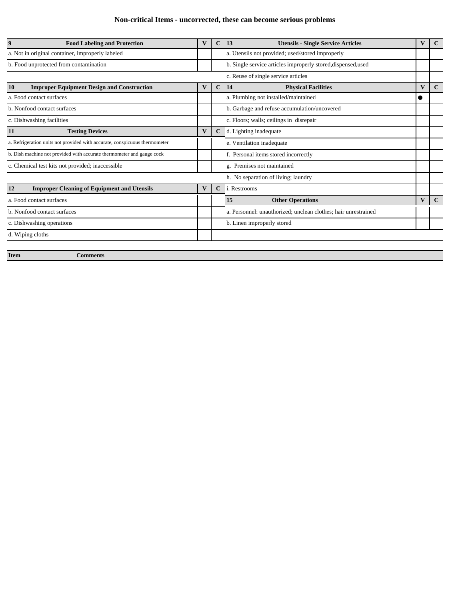# **Non-critical Items - uncorrected, these can become serious problems**

| $\overline{\mathbf{9}}$                                                    | <b>Food Labeling and Protection</b>                | V            | $\mathbf{C}$ | 13<br><b>Utensils - Single Service Articles</b>                | V            | $\mathbf{C}$ |
|----------------------------------------------------------------------------|----------------------------------------------------|--------------|--------------|----------------------------------------------------------------|--------------|--------------|
| a. Not in original container, improperly labeled                           |                                                    |              |              | a. Utensils not provided; used/stored improperly               |              |              |
| b. Food unprotected from contamination                                     |                                                    |              |              | b. Single service articles improperly stored, dispensed, used  |              |              |
|                                                                            |                                                    |              |              | c. Reuse of single service articles                            |              |              |
| 10<br><b>Improper Equipment Design and Construction</b>                    |                                                    | $\mathbf{V}$ | $\mathbf{C}$ | 14<br><b>Physical Facilities</b>                               | $\mathbf{V}$ | $\mathbf{C}$ |
| a. Food contact surfaces                                                   |                                                    |              |              | a. Plumbing not installed/maintained                           |              |              |
| b. Nonfood contact surfaces                                                |                                                    |              |              | b. Garbage and refuse accumulation/uncovered                   |              |              |
| c. Dishwashing facilities                                                  |                                                    |              |              | c. Floors; walls; ceilings in disrepair                        |              |              |
| 11                                                                         | <b>Testing Devices</b>                             | V            | $\mathbf{C}$ | d. Lighting inadequate                                         |              |              |
| a. Refrigeration units not provided with accurate, conspicuous thermometer |                                                    |              |              | e. Ventilation inadequate                                      |              |              |
| b. Dish machine not provided with accurate thermometer and gauge cock      |                                                    |              |              | f. Personal items stored incorrectly                           |              |              |
| c. Chemical test kits not provided; inaccessible                           |                                                    |              |              | g. Premises not maintained                                     |              |              |
|                                                                            |                                                    |              |              | h. No separation of living; laundry                            |              |              |
| <b>12</b>                                                                  | <b>Improper Cleaning of Equipment and Utensils</b> | V            | $\mathbf{C}$ | i. Restrooms                                                   |              |              |
| a. Food contact surfaces                                                   |                                                    |              |              | <b>Other Operations</b><br>15                                  | $\mathbf{V}$ | $\mathbf{C}$ |
| b. Nonfood contact surfaces                                                |                                                    |              |              | a. Personnel: unauthorized; unclean clothes; hair unrestrained |              |              |
| c. Dishwashing operations                                                  |                                                    |              |              | b. Linen improperly stored                                     |              |              |
| d. Wiping cloths                                                           |                                                    |              |              |                                                                |              |              |
|                                                                            |                                                    |              |              |                                                                |              |              |

**Item Comments**